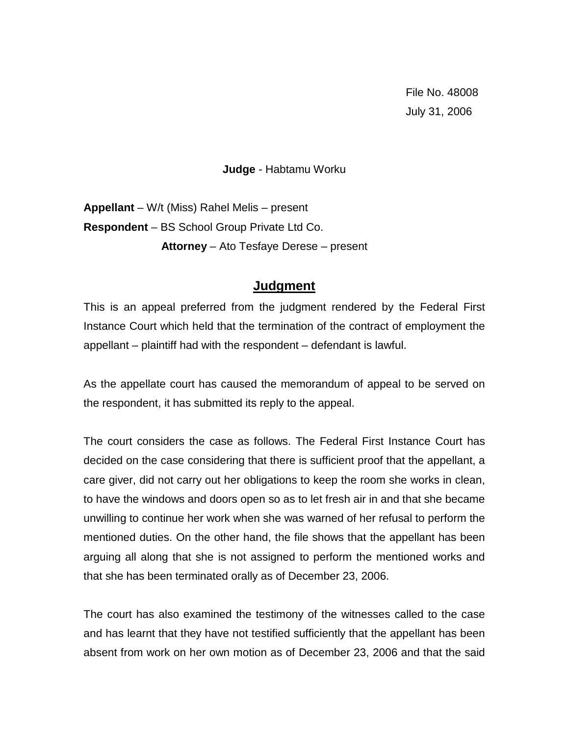File No. 48008 July 31, 2006

## **Judge** - Habtamu Worku

**Appellant** – W/t (Miss) Rahel Melis – present **Respondent** – BS School Group Private Ltd Co. **Attorney** – Ato Tesfaye Derese – present

## **Judgment**

This is an appeal preferred from the judgment rendered by the Federal First Instance Court which held that the termination of the contract of employment the appellant – plaintiff had with the respondent – defendant is lawful.

As the appellate court has caused the memorandum of appeal to be served on the respondent, it has submitted its reply to the appeal.

The court considers the case as follows. The Federal First Instance Court has decided on the case considering that there is sufficient proof that the appellant, a care giver, did not carry out her obligations to keep the room she works in clean, to have the windows and doors open so as to let fresh air in and that she became unwilling to continue her work when she was warned of her refusal to perform the mentioned duties. On the other hand, the file shows that the appellant has been arguing all along that she is not assigned to perform the mentioned works and that she has been terminated orally as of December 23, 2006.

The court has also examined the testimony of the witnesses called to the case and has learnt that they have not testified sufficiently that the appellant has been absent from work on her own motion as of December 23, 2006 and that the said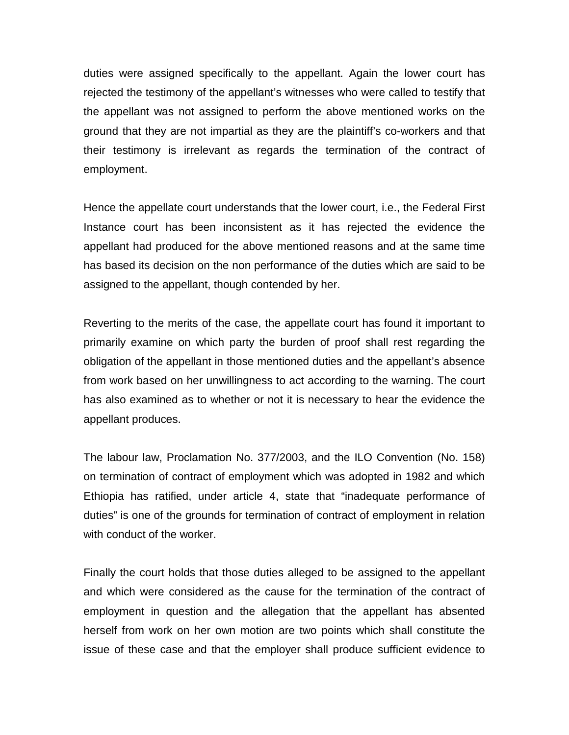duties were assigned specifically to the appellant. Again the lower court has rejected the testimony of the appellant's witnesses who were called to testify that the appellant was not assigned to perform the above mentioned works on the ground that they are not impartial as they are the plaintiff's co-workers and that their testimony is irrelevant as regards the termination of the contract of employment.

Hence the appellate court understands that the lower court, i.e., the Federal First Instance court has been inconsistent as it has rejected the evidence the appellant had produced for the above mentioned reasons and at the same time has based its decision on the non performance of the duties which are said to be assigned to the appellant, though contended by her.

Reverting to the merits of the case, the appellate court has found it important to primarily examine on which party the burden of proof shall rest regarding the obligation of the appellant in those mentioned duties and the appellant's absence from work based on her unwillingness to act according to the warning. The court has also examined as to whether or not it is necessary to hear the evidence the appellant produces.

The labour law, Proclamation No. 377/2003, and the ILO Convention (No. 158) on termination of contract of employment which was adopted in 1982 and which Ethiopia has ratified, under article 4, state that "inadequate performance of duties" is one of the grounds for termination of contract of employment in relation with conduct of the worker.

Finally the court holds that those duties alleged to be assigned to the appellant and which were considered as the cause for the termination of the contract of employment in question and the allegation that the appellant has absented herself from work on her own motion are two points which shall constitute the issue of these case and that the employer shall produce sufficient evidence to